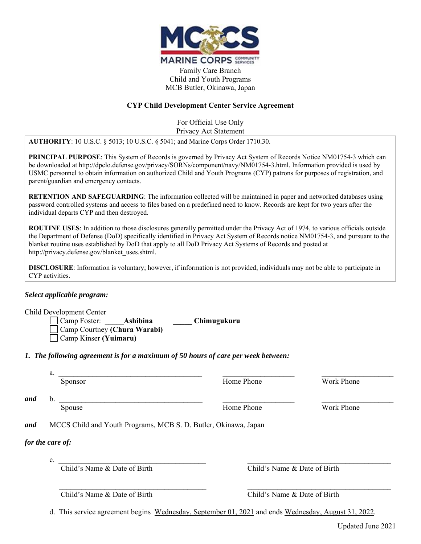

Family Care Branch Child and Youth Programs MCB Butler, Okinawa, Japan

## **CYP Child Development Center Service Agreement**

For Official Use Only Privacy Act Statement

**AUTHORITY**: 10 U.S.C. § 5013; 10 U.S.C. § 5041; and Marine Corps Order 1710.30.

**PRINCIPAL PURPOSE**: This System of Records is governed by Privacy Act System of Records Notice NM01754-3 which can be downloaded at http://dpclo.defense.gov/privacy/SORNs/component/navy/NM01754-3.html. Information provided is used by USMC personnel to obtain information on authorized Child and Youth Programs (CYP) patrons for purposes of registration, and parent/guardian and emergency contacts.

**RETENTION AND SAFEGUARDING**: The information collected will be maintained in paper and networked databases using password controlled systems and access to files based on a predefined need to know. Records are kept for two years after the individual departs CYP and then destroyed.

**ROUTINE USES**: In addition to those disclosures generally permitted under the Privacy Act of 1974, to various officials outside the Department of Defense (DoD) specifically identified in Privacy Act System of Records notice NM01754-3, and pursuant to the blanket routine uses established by DoD that apply to all DoD Privacy Act Systems of Records and posted at http://privacy.defense.gov/blanket\_uses.shtml.

**DISCLOSURE**: Information is voluntary; however, if information is not provided, individuals may not be able to participate in CYP activities.

## *Select applicable program:*

Child Development Center

 Camp Foster: \_\_\_\_\_**Ashibina \_\_\_\_\_ Chimugukuru** Camp Courtney **(Chura Warabi)** Camp Kinser **(Yuimaru)**

*1. The following agreement is for a maximum of 50 hours of care per week between:* 

| . .              |                    |                 |
|------------------|--------------------|-----------------|
| . <i>. . .</i> . | $ -$<br>rnone<br>. | $- -$<br>.<br>. |

Sponsor **Example 2** Home Phone Work Phone

*and* b. \_\_\_\_\_\_\_\_\_\_\_\_\_\_\_\_\_\_\_\_\_\_\_\_\_\_\_\_\_\_\_\_\_\_\_\_\_\_ \_\_\_\_\_\_\_\_\_\_\_\_\_\_\_\_\_\_\_ \_\_\_\_\_\_\_\_\_\_\_\_\_\_\_\_\_\_\_

Spouse Spouse Home Phone Home Phone Work Phone

*and* MCCS Child and Youth Programs, MCB S. D. Butler, Okinawa, Japan

## *for the care of:*

 $c.$ 

Child's Name & Date of Birth Child's Name & Date of Birth

Child's Name & Date of Birth Child's Name & Date of Birth

d. This service agreement begins Wednesday, September 01, 2021 and ends Wednesday, August 31, 2022.

 $\mathcal{L}_\mathcal{L} = \{ \mathcal{L}_\mathcal{L} = \{ \mathcal{L}_\mathcal{L} = \{ \mathcal{L}_\mathcal{L} = \{ \mathcal{L}_\mathcal{L} = \{ \mathcal{L}_\mathcal{L} = \{ \mathcal{L}_\mathcal{L} = \{ \mathcal{L}_\mathcal{L} = \{ \mathcal{L}_\mathcal{L} = \{ \mathcal{L}_\mathcal{L} = \{ \mathcal{L}_\mathcal{L} = \{ \mathcal{L}_\mathcal{L} = \{ \mathcal{L}_\mathcal{L} = \{ \mathcal{L}_\mathcal{L} = \{ \mathcal{L}_\mathcal{$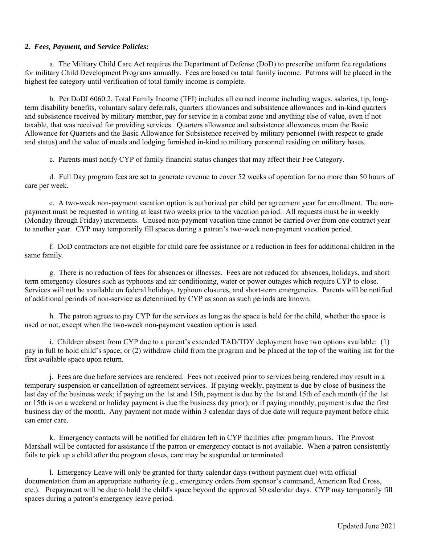#### *2. Fees, Payment, and Service Policies:*

 a. The Military Child Care Act requires the Department of Defense (DoD) to prescribe uniform fee regulations for military Child Development Programs annually. Fees are based on total family income. Patrons will be placed in the highest fee category until verification of total family income is complete.

 b. Per DoDI 6060.2, Total Family Income (TFI) includes all earned income including wages, salaries, tip, longterm disability benefits, voluntary salary deferrals, quarters allowances and subsistence allowances and in-kind quarters and subsistence received by military member, pay for service in a combat zone and anything else of value, even if not taxable, that was received for providing services. Quarters allowance and subsistence allowances mean the Basic Allowance for Quarters and the Basic Allowance for Subsistence received by military personnel (with respect to grade and status) and the value of meals and lodging furnished in-kind to military personnel residing on military bases.

c. Parents must notify CYP of family financial status changes that may affect their Fee Category.

 d. Full Day program fees are set to generate revenue to cover 52 weeks of operation for no more than 50 hours of care per week.

 e. A two-week non-payment vacation option is authorized per child per agreement year for enrollment. The nonpayment must be requested in writing at least two weeks prior to the vacation period. All requests must be in weekly (Monday through Friday) increments. Unused non-payment vacation time cannot be carried over from one contract year to another year. CYP may temporarily fill spaces during a patron's two-week non-payment vacation period.

f. DoD contractors are not eligible for child care fee assistance or a reduction in fees for additional children in the same family.

g. There is no reduction of fees for absences or illnesses. Fees are not reduced for absences, holidays, and short term emergency closures such as typhoons and air conditioning, water or power outages which require CYP to close. Services will not be available on federal holidays, typhoon closures, and short-term emergencies. Parents will be notified of additional periods of non-service as determined by CYP as soon as such periods are known.

h. The patron agrees to pay CYP for the services as long as the space is held for the child, whether the space is used or not, except when the two-week non-payment vacation option is used.

i. Children absent from CYP due to a parent's extended TAD/TDY deployment have two options available: (1) pay in full to hold child's space; or (2) withdraw child from the program and be placed at the top of the waiting list for the first available space upon return.

 j. Fees are due before services are rendered. Fees not received prior to services being rendered may result in a temporary suspension or cancellation of agreement services. If paying weekly, payment is due by close of business the last day of the business week; if paying on the 1st and 15th, payment is due by the 1st and 15th of each month (if the 1st or 15th is on a weekend or holiday payment is due the business day prior); or if paying monthly, payment is due the first business day of the month. Any payment not made within 3 calendar days of due date will require payment before child can enter care.

k. Emergency contacts will be notified for children left in CYP facilities after program hours. The Provost Marshall will be contacted for assistance if the patron or emergency contact is not available. When a patron consistently fails to pick up a child after the program closes, care may be suspended or terminated.

l. Emergency Leave will only be granted for thirty calendar days (without payment due) with official documentation from an appropriate authority (e.g., emergency orders from sponsor's command, American Red Cross, etc.). Prepayment will be due to hold the child's space beyond the approved 30 calendar days. CYP may temporarily fill spaces during a patron's emergency leave period.